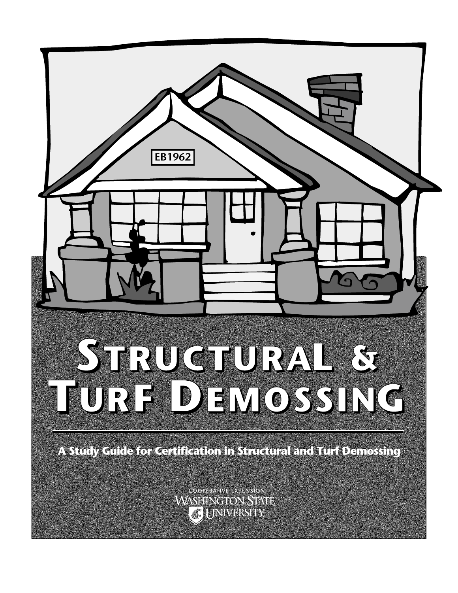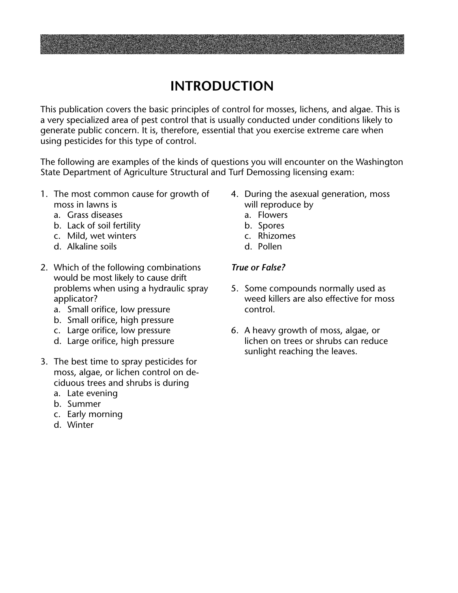# **INTRODUCTION**

This publication covers the basic principles of control for mosses, lichens, and algae. This is a very specialized area of pest control that is usually conducted under conditions likely to generate public concern. It is, therefore, essential that you exercise extreme care when using pesticides for this type of control.

The following are examples of the kinds of questions you will encounter on the Washington State Department of Agriculture Structural and Turf Demossing licensing exam:

- 1. The most common cause for growth of moss in lawns is
	- a. Grass diseases
	- b. Lack of soil fertility
	- c. Mild, wet winters
	- d. Alkaline soils
- 2. Which of the following combinations would be most likely to cause drift problems when using a hydraulic spray applicator?
	- a. Small orifice, low pressure
	- b. Small orifice, high pressure
	- c. Large orifice, low pressure
	- d. Large orifice, high pressure
- 3. The best time to spray pesticides for moss, algae, or lichen control on deciduous trees and shrubs is during
	- a. Late evening
	- b. Summer
	- c. Early morning
	- d. Winter
- 4. During the asexual generation, moss will reproduce by
	- a. Flowers
	- b. Spores
	- c. Rhizomes
	- d. Pollen

# *True or False?*

- 5. Some compounds normally used as weed killers are also effective for moss control.
- 6. A heavy growth of moss, algae, or lichen on trees or shrubs can reduce sunlight reaching the leaves.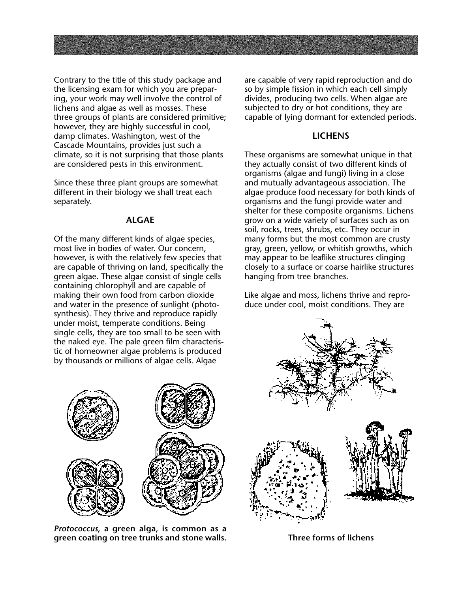Contrary to the title of this study package and the licensing exam for which you are preparing, your work may well involve the control of lichens and algae as well as mosses. These three groups of plants are considered primitive; however, they are highly successful in cool, damp climates. Washington, west of the Cascade Mountains, provides just such a climate, so it is not surprising that those plants are considered pests in this environment.

Since these three plant groups are somewhat different in their biology we shall treat each separately.

#### **ALGAE**

Of the many different kinds of algae species, most live in bodies of water. Our concern, however, is with the relatively few species that are capable of thriving on land, specifically the green algae. These algae consist of single cells containing chlorophyll and are capable of making their own food from carbon dioxide and water in the presence of sunlight (photosynthesis). They thrive and reproduce rapidly under moist, temperate conditions. Being single cells, they are too small to be seen with the naked eye. The pale green film characteristic of homeowner algae problems is produced by thousands or millions of algae cells. Algae



*Protococcus***, a green alga, is common as a green coating on tree trunks and stone walls.**

are capable of very rapid reproduction and do so by simple fission in which each cell simply divides, producing two cells. When algae are subjected to dry or hot conditions, they are capable of lying dormant for extended periods.

# **LICHENS**

These organisms are somewhat unique in that they actually consist of two different kinds of organisms (algae and fungi) living in a close and mutually advantageous association. The algae produce food necessary for both kinds of organisms and the fungi provide water and shelter for these composite organisms. Lichens grow on a wide variety of surfaces such as on soil, rocks, trees, shrubs, etc. They occur in many forms but the most common are crusty gray, green, yellow, or whitish growths, which may appear to be leaflike structures clinging closely to a surface or coarse hairlike structures hanging from tree branches.

Like algae and moss, lichens thrive and reproduce under cool, moist conditions. They are



**Three forms of lichens**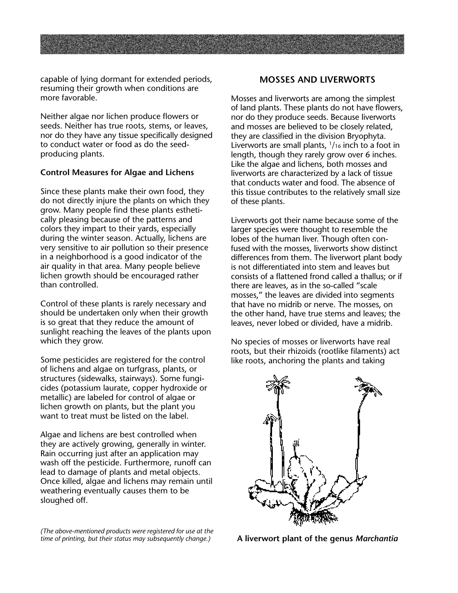capable of lying dormant for extended periods, resuming their growth when conditions are more favorable.

Neither algae nor lichen produce flowers or seeds. Neither has true roots, stems, or leaves, nor do they have any tissue specifically designed to conduct water or food as do the seedproducing plants.

#### **Control Measures for Algae and Lichens**

Since these plants make their own food, they do not directly injure the plants on which they grow. Many people find these plants esthetically pleasing because of the patterns and colors they impart to their yards, especially during the winter season. Actually, lichens are very sensitive to air pollution so their presence in a neighborhood is a good indicator of the air quality in that area. Many people believe lichen growth should be encouraged rather than controlled.

Control of these plants is rarely necessary and should be undertaken only when their growth is so great that they reduce the amount of sunlight reaching the leaves of the plants upon which they grow.

Some pesticides are registered for the control of lichens and algae on turfgrass, plants, or structures (sidewalks, stairways). Some fungicides (potassium laurate, copper hydroxide or metallic) are labeled for control of algae or lichen growth on plants, but the plant you want to treat must be listed on the label.

Algae and lichens are best controlled when they are actively growing, generally in winter. Rain occurring just after an application may wash off the pesticide. Furthermore, runoff can lead to damage of plants and metal objects. Once killed, algae and lichens may remain until weathering eventually causes them to be sloughed off.

*(The above-mentioned products were registered for use at the time of printing, but their status may subsequently change.)*

### **MOSSES AND LIVERWORTS**

Mosses and liverworts are among the simplest of land plants. These plants do not have flowers, nor do they produce seeds. Because liverworts and mosses are believed to be closely related, they are classified in the division Bryophyta. Liverworts are small plants,  $1/16$  inch to a foot in length, though they rarely grow over 6 inches. Like the algae and lichens, both mosses and liverworts are characterized by a lack of tissue that conducts water and food. The absence of this tissue contributes to the relatively small size of these plants.

Liverworts got their name because some of the larger species were thought to resemble the lobes of the human liver. Though often confused with the mosses, liverworts show distinct differences from them. The liverwort plant body is not differentiated into stem and leaves but consists of a flattened frond called a thallus; or if there are leaves, as in the so-called "scale mosses," the leaves are divided into segments that have no midrib or nerve. The mosses, on the other hand, have true stems and leaves; the leaves, never lobed or divided, have a midrib.

No species of mosses or liverworts have real roots, but their rhizoids (rootlike filaments) act like roots, anchoring the plants and taking



**A liverwort plant of the genus** *Marchantia*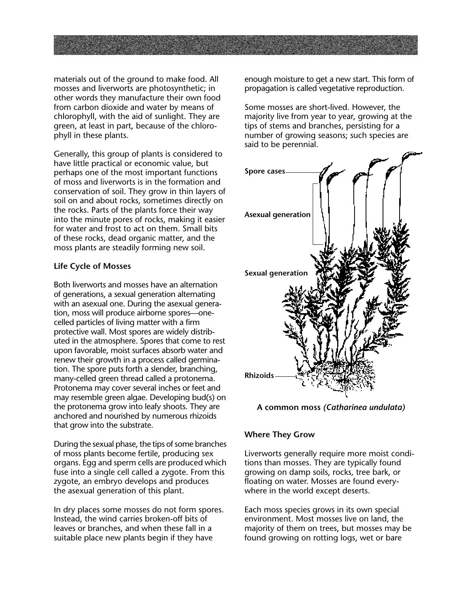materials out of the ground to make food. All mosses and liverworts are photosynthetic; in other words they manufacture their own food from carbon dioxide and water by means of chlorophyll, with the aid of sunlight. They are green, at least in part, because of the chlorophyll in these plants.

Generally, this group of plants is considered to have little practical or economic value, but perhaps one of the most important functions of moss and liverworts is in the formation and conservation of soil. They grow in thin layers of soil on and about rocks, sometimes directly on the rocks. Parts of the plants force their way into the minute pores of rocks, making it easier for water and frost to act on them. Small bits of these rocks, dead organic matter, and the moss plants are steadily forming new soil.

#### **Life Cycle of Mosses**

Both liverworts and mosses have an alternation of generations, a sexual generation alternating with an asexual one. During the asexual generation, moss will produce airborne spores—onecelled particles of living matter with a firm protective wall. Most spores are widely distributed in the atmosphere. Spores that come to rest upon favorable, moist surfaces absorb water and renew their growth in a process called germination. The spore puts forth a slender, branching, many-celled green thread called a protonema. Protonema may cover several inches or feet and may resemble green algae. Developing bud(s) on the protonema grow into leafy shoots. They are anchored and nourished by numerous rhizoids that grow into the substrate.

During the sexual phase, the tips of some branches of moss plants become fertile, producing sex organs. Egg and sperm cells are produced which fuse into a single cell called a zygote. From this zygote, an embryo develops and produces the asexual generation of this plant.

In dry places some mosses do not form spores. Instead, the wind carries broken-off bits of leaves or branches, and when these fall in a suitable place new plants begin if they have

enough moisture to get a new start. This form of propagation is called vegetative reproduction.

Some mosses are short-lived. However, the majority live from year to year, growing at the tips of stems and branches, persisting for a number of growing seasons; such species are said to be perennial.





## **Where They Grow**

Liverworts generally require more moist conditions than mosses. They are typically found growing on damp soils, rocks, tree bark, or floating on water. Mosses are found everywhere in the world except deserts.

Each moss species grows in its own special environment. Most mosses live on land, the majority of them on trees, but mosses may be found growing on rotting logs, wet or bare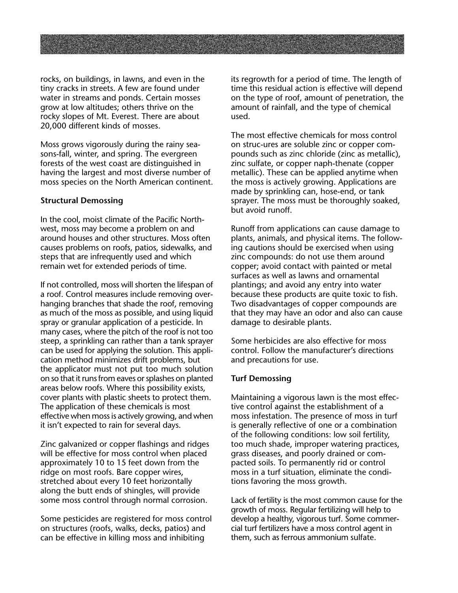rocks, on buildings, in lawns, and even in the tiny cracks in streets. A few are found under water in streams and ponds. Certain mosses grow at low altitudes; others thrive on the rocky slopes of Mt. Everest. There are about 20,000 different kinds of mosses.

Moss grows vigorously during the rainy seasons-fall, winter, and spring. The evergreen forests of the west coast are distinguished in having the largest and most diverse number of moss species on the North American continent.

#### **Structural Demossing**

In the cool, moist climate of the Pacific Northwest, moss may become a problem on and around houses and other structures. Moss often causes problems on roofs, patios, sidewalks, and steps that are infrequently used and which remain wet for extended periods of time.

If not controlled, moss will shorten the lifespan of a roof. Control measures include removing overhanging branches that shade the roof, removing as much of the moss as possible, and using liquid spray or granular application of a pesticide. In many cases, where the pitch of the roof is not too steep, a sprinkling can rather than a tank sprayer can be used for applying the solution. This application method minimizes drift problems, but the applicator must not put too much solution on so that it runs from eaves or splashes on planted areas below roofs. Where this possibility exists, cover plants with plastic sheets to protect them. The application of these chemicals is most effective when moss is actively growing, and when it isn't expected to rain for several days.

Zinc galvanized or copper flashings and ridges will be effective for moss control when placed approximately 10 to 15 feet down from the ridge on most roofs. Bare copper wires, stretched about every 10 feet horizontally along the butt ends of shingles, will provide some moss control through normal corrosion.

Some pesticides are registered for moss control on structures (roofs, walks, decks, patios) and can be effective in killing moss and inhibiting

its regrowth for a period of time. The length of time this residual action is effective will depend on the type of roof, amount of penetration, the amount of rainfall, and the type of chemical used.

The most effective chemicals for moss control on struc-ures are soluble zinc or copper compounds such as zinc chloride (zinc as metallic), zinc sulfate, or copper naph-thenate (copper metallic). These can be applied anytime when the moss is actively growing. Applications are made by sprinkling can, hose-end, or tank sprayer. The moss must be thoroughly soaked, but avoid runoff.

Runoff from applications can cause damage to plants, animals, and physical items. The following cautions should be exercised when using zinc compounds: do not use them around copper; avoid contact with painted or metal surfaces as well as lawns and ornamental plantings; and avoid any entry into water because these products are quite toxic to fish. Two disadvantages of copper compounds are that they may have an odor and also can cause damage to desirable plants.

Some herbicides are also effective for moss control. Follow the manufacturer's directions and precautions for use.

#### **Turf Demossing**

Maintaining a vigorous lawn is the most effective control against the establishment of a moss infestation. The presence of moss in turf is generally reflective of one or a combination of the following conditions: low soil fertility, too much shade, improper watering practices, grass diseases, and poorly drained or compacted soils. To permanently rid or control moss in a turf situation, eliminate the conditions favoring the moss growth.

Lack of fertility is the most common cause for the growth of moss. Regular fertilizing will help to develop a healthy, vigorous turf. Some commercial turf fertilizers have a moss control agent in them, such as ferrous ammonium sulfate.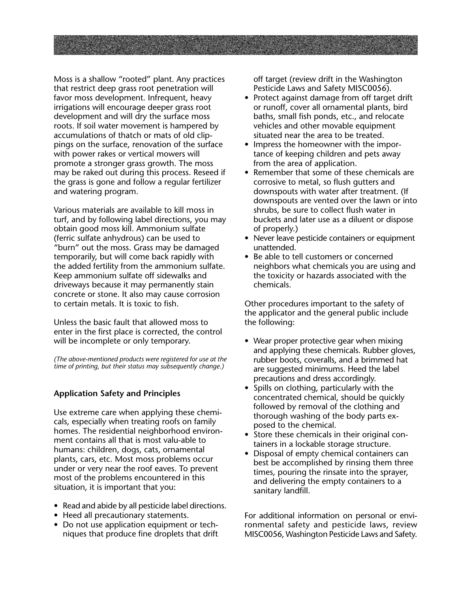Moss is a shallow "rooted" plant. Any practices that restrict deep grass root penetration will favor moss development. Infrequent, heavy irrigations will encourage deeper grass root development and will dry the surface moss roots. If soil water movement is hampered by accumulations of thatch or mats of old clippings on the surface, renovation of the surface with power rakes or vertical mowers will promote a stronger grass growth. The moss may be raked out during this process. Reseed if the grass is gone and follow a regular fertilizer and watering program.

Various materials are available to kill moss in turf, and by following label directions, you may obtain good moss kill. Ammonium sulfate (ferric sulfate anhydrous) can be used to "burn" out the moss. Grass may be damaged temporarily, but will come back rapidly with the added fertility from the ammonium sulfate. Keep ammonium sulfate off sidewalks and driveways because it may permanently stain concrete or stone. It also may cause corrosion to certain metals. It is toxic to fish.

Unless the basic fault that allowed moss to enter in the first place is corrected, the control will be incomplete or only temporary.

*(The above-mentioned products were registered for use at the time of printing, but their status may subsequently change.)*

## **Application Safety and Principles**

Use extreme care when applying these chemicals, especially when treating roofs on family homes. The residential neighborhood environment contains all that is most valu-able to humans: children, dogs, cats, ornamental plants, cars, etc. Most moss problems occur under or very near the roof eaves. To prevent most of the problems encountered in this situation, it is important that you:

- Read and abide by all pesticide label directions.
- Heed all precautionary statements.
- Do not use application equipment or techniques that produce fine droplets that drift

off target (review drift in the Washington Pesticide Laws and Safety MISC0056).

- Protect against damage from off target drift or runoff, cover all ornamental plants, bird baths, small fish ponds, etc., and relocate vehicles and other movable equipment situated near the area to be treated.
- Impress the homeowner with the importance of keeping children and pets away from the area of application.
- Remember that some of these chemicals are corrosive to metal, so flush gutters and downspouts with water after treatment. (If downspouts are vented over the lawn or into shrubs, be sure to collect flush water in buckets and later use as a diluent or dispose of properly.)
- Never leave pesticide containers or equipment unattended.
- Be able to tell customers or concerned neighbors what chemicals you are using and the toxicity or hazards associated with the chemicals.

Other procedures important to the safety of the applicator and the general public include the following:

- Wear proper protective gear when mixing and applying these chemicals. Rubber gloves, rubber boots, coveralls, and a brimmed hat are suggested minimums. Heed the label precautions and dress accordingly.
- Spills on clothing, particularly with the concentrated chemical, should be quickly followed by removal of the clothing and thorough washing of the body parts exposed to the chemical.
- Store these chemicals in their original containers in a lockable storage structure.
- Disposal of empty chemical containers can best be accomplished by rinsing them three times, pouring the rinsate into the sprayer, and delivering the empty containers to a sanitary landfill.

For additional information on personal or environmental safety and pesticide laws, review MISC0056, Washington Pesticide Laws and Safety.